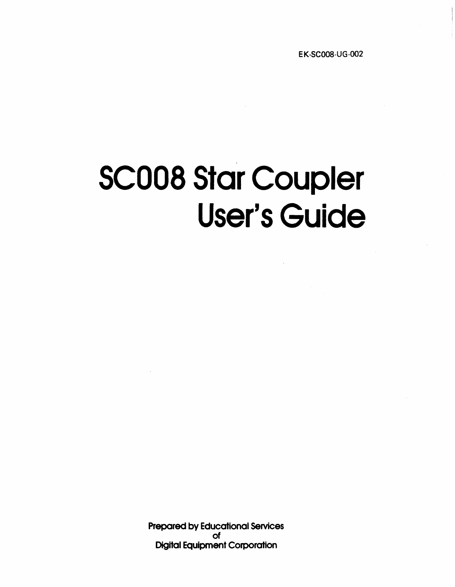E K-SC008-UG-002

# SC008 Star Coupler User's Guide

Prepared by Educational Services of Digital EQuipment Corporation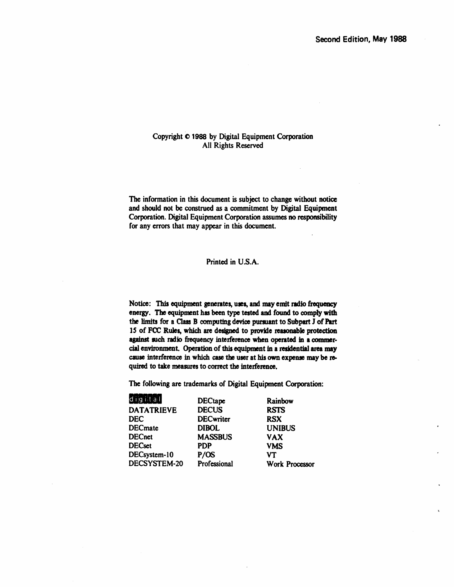#### Copyright  $O$  1988 by Digital Equipment Corporation All Rights Reserved

The information in this document is subject to change without notice and should not be construed as a commitment by Digital Equipment Corporation. Digital Equipment Corporation assumes no responsibility for any errors that may appear in this document.

#### Printed in U.S.A.

Notice: This equipment generates, uses, and may emit radio frequency energy. The equipment has been type tested and found to comply with the limits for a Class B computing device pursuant to Subpart J of Part 15 of FCC Rules, which are designed to provide reasonable protection against such radio frequency interference when operated in a commercial environment. Operation of this equipment jn a residential area may cause interference in which case the user at his own expense may be required to take measures to correct the interference.

The following are trademarks of Digital Equipment Corporation:

| digital           | <b>DECtape</b>   | <b>Rainbow</b>        |
|-------------------|------------------|-----------------------|
| <b>DATATRIEVE</b> | <b>DECUS</b>     | <b>RSTS</b>           |
| <b>DEC</b>        | <b>DECwriter</b> | <b>RSX</b>            |
| <b>DECmate</b>    | <b>DIBOL</b>     | <b>UNIBUS</b>         |
| <b>DECnet</b>     | <b>MASSBUS</b>   | <b>VAX</b>            |
| <b>DECset</b>     | <b>PDP</b>       | <b>VMS</b>            |
| DECsystem-10      | P/OS             | VТ                    |
| DECSYSTEM-20      | Professional     | <b>Work Processor</b> |
|                   |                  |                       |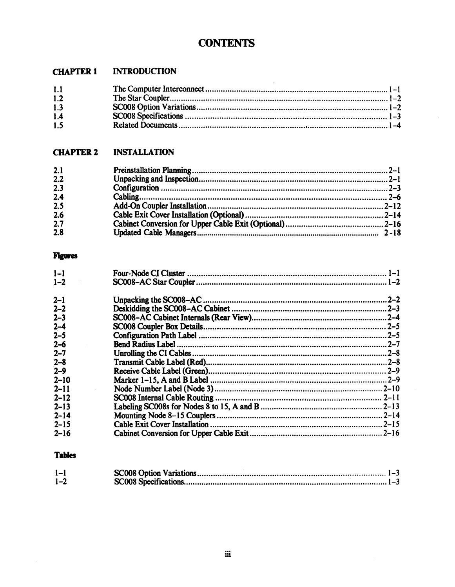# **CONTENTS**

## **CHAPTER 1 INTRODUCTION**

| 1.1 |  |
|-----|--|
| 1.2 |  |
| 1.3 |  |
| 1.4 |  |
| 1.5 |  |

## **CHAPTER 2 INSTALLATION**

| 2.1 |  |
|-----|--|
| 2.2 |  |
| 2.3 |  |
| 2.4 |  |
| 2.5 |  |
| 2.6 |  |
| 2.7 |  |
| 2.8 |  |

## **Figures**

| $1-1$    |          |
|----------|----------|
| $1 - 2$  |          |
| $2 - 1$  | $2 - 2$  |
| $2 - 2$  |          |
| $2 - 3$  |          |
| $2 - 4$  |          |
| $2 - 5$  |          |
| $2 - 6$  |          |
| $2 - 7$  | $.2 - 8$ |
| $2 - 8$  |          |
| $2 - 9$  |          |
| $2 - 10$ |          |
| $2 - 11$ |          |
| $2 - 12$ |          |
| $2 - 13$ |          |
| $2 - 14$ |          |
| $2 - 15$ |          |
| $2 - 16$ |          |

## **Tables**

| $1 -$   |  |  |
|---------|--|--|
| $1 - 2$ |  |  |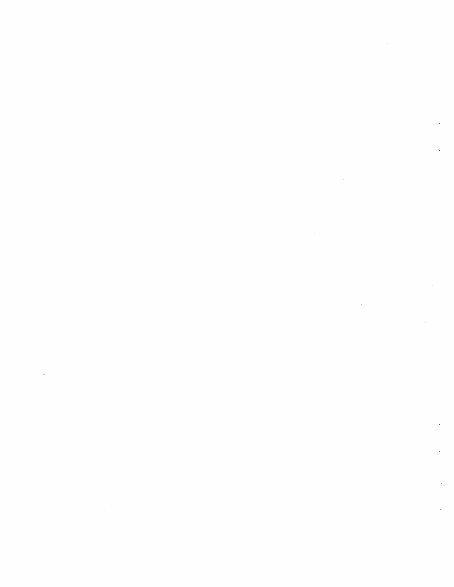$\label{eq:2.1} \frac{1}{\sqrt{2}}\int_{\mathbb{R}^3}\frac{1}{\sqrt{2}}\left(\frac{1}{\sqrt{2}}\right)^2\frac{1}{\sqrt{2}}\left(\frac{1}{\sqrt{2}}\right)^2\frac{1}{\sqrt{2}}\left(\frac{1}{\sqrt{2}}\right)^2\frac{1}{\sqrt{2}}\left(\frac{1}{\sqrt{2}}\right)^2.$ 

 $\label{eq:2.1} \frac{1}{\sqrt{2}}\int_{\mathbb{R}^3}\frac{1}{\sqrt{2}}\left(\frac{1}{\sqrt{2}}\right)^2\frac{1}{\sqrt{2}}\left(\frac{1}{\sqrt{2}}\right)^2\frac{1}{\sqrt{2}}\left(\frac{1}{\sqrt{2}}\right)^2\frac{1}{\sqrt{2}}\left(\frac{1}{\sqrt{2}}\right)^2.$ 

 $\label{eq:2.1} \frac{1}{\sqrt{2}}\int_{\mathbb{R}^3} \frac{1}{\sqrt{2}}\left(\frac{1}{\sqrt{2}}\right)^2\left(\frac{1}{\sqrt{2}}\right)^2\left(\frac{1}{\sqrt{2}}\right)^2\left(\frac{1}{\sqrt{2}}\right)^2.$ 

 $\label{eq:2.1} \frac{1}{\sqrt{2}}\left(\frac{1}{\sqrt{2}}\right)^{2} \left(\frac{1}{\sqrt{2}}\right)^{2} \left(\frac{1}{\sqrt{2}}\right)^{2} \left(\frac{1}{\sqrt{2}}\right)^{2} \left(\frac{1}{\sqrt{2}}\right)^{2} \left(\frac{1}{\sqrt{2}}\right)^{2} \left(\frac{1}{\sqrt{2}}\right)^{2} \left(\frac{1}{\sqrt{2}}\right)^{2} \left(\frac{1}{\sqrt{2}}\right)^{2} \left(\frac{1}{\sqrt{2}}\right)^{2} \left(\frac{1}{\sqrt{2}}\right)^{2} \left(\$  $\label{eq:2.1} \mathcal{L}(\mathcal{L}^{\text{max}}_{\mathcal{L}}(\mathcal{L}^{\text{max}}_{\mathcal{L}}),\mathcal{L}^{\text{max}}_{\mathcal{L}^{\text{max}}_{\mathcal{L}}})$ 

 $\sigma_{\rm{eff}}$ 

 $\epsilon$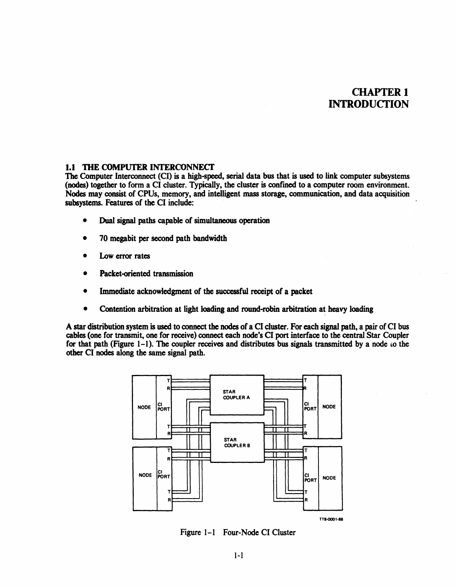# CHAPTER 1 INTRODUCTION

#### 1.1 THE COMPUTER INTERCONNECf

The Computer Interconnect (CI) is a high-speed, serial data bus that is used to link computer subsystems (nodes) together to form a CI cluster. Typically, the cluster is confmed to a computer room environment. Nodes may consist of CPUs, memory, and intelligent mass storage, communication, and data acquisition subsystems. Features of the CI include:

- Dual signal paths capable of simultaneous operation
- 70 megabit per second path bandwidth
- Low error rates
- Packet-oriented transmission
- Immediate acknowledgment of the successful receipt of a packet
- Contention arbitration at light loading and round-robin arbitration at heavy loading

A star distribution system is used to connect the nodes of a CI cluster. For each signal path, a pair of CI bus cables (one for transmit, one for receive) connect each node's CI port interface to the central Star Coupler for that path (Figure  $1-1$ ). The coupler receives and distributes bus signals transmitted by a node to the other CI nodes along the same signal path.



Figure 1-1 Four-Node CI Cluster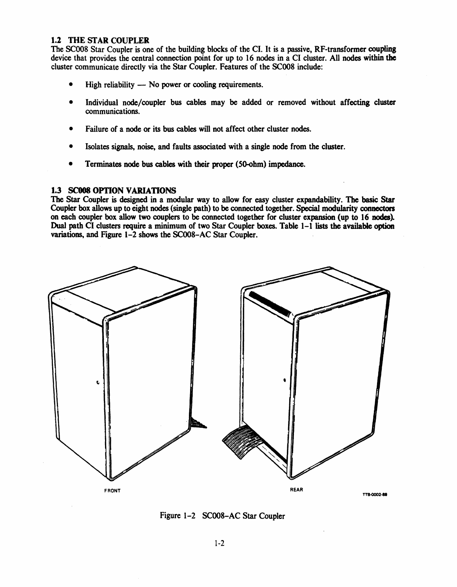#### 1.2 THE STAR COUPLER

The SCOO8 Star Coupler is one of the building blocks of the CI. It is a passive, RF-transfonner coupling device that provides the central connection point for up to 16 nodes in a CI cluster. All nodes within the cluster communicate directly via the Star Coupler. Features of the SCOO8 include:

- $\bullet$  High reliability  $\sim$  No power or cooling requirements.
- Individual node/coupler bus cables may be added or removed without affecting cluster communications.
- Failure of a node or its bus cables will not affect other cluster nodes.
- Isolates signals, noise, and faults associated with a single node from the cluster.
- Terminates node bus cables with their proper (SO-ohm) impedance.

#### 1.3 SC008 OPTION VARIATIONS

The Star Coupler is designed in a modular way to allow for easy cluster expandability. The basic Star Coupler box allows up to eight nodes (single path) to be connected together. Special modularity connectors on each coupler box allow two couplers to be connected together for cluster expansion (up to 16 nodes). Dual path CI clusters require a minimum of two Star Coupler boxes. Table 1-1 lists the available option variations, and Figure 1-2 shows the SCOO8-AC Star Coupler.



Figure 1-2 SCOO8-AC Star Coupler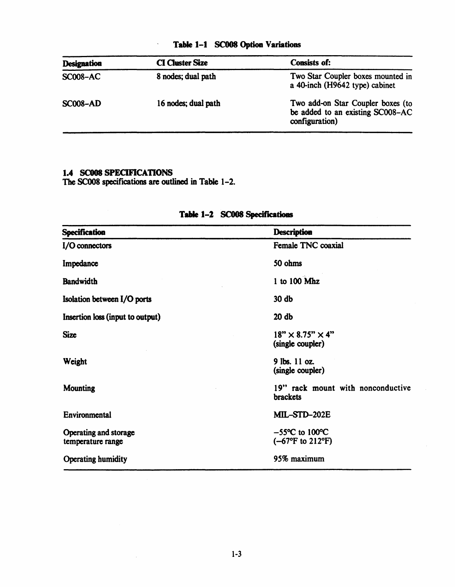| <b>Designation</b> | <b>CI Cluster Size</b> | <b>Consists of:</b>                                                                     |
|--------------------|------------------------|-----------------------------------------------------------------------------------------|
| <b>SC008-AC</b>    | 8 nodes; dual path     | Two Star Coupler boxes mounted in<br>a 40-inch (H9642 type) cabinet                     |
| <b>SC008-AD</b>    | 16 nodes; dual path    | Two add-on Star Coupler boxes (to<br>be added to an existing SC008-AC<br>configuration) |

### Table 1-1 SCOO8 Option Variations

## 1.4 SCOO8 SPECIFICATIONS

The SC008 specifications are outlined in Table 1-2.

 $\ddot{\phantom{a}}$ 

| <b>Specification</b>                       | <b>Description</b>                                                              |  |  |  |  |
|--------------------------------------------|---------------------------------------------------------------------------------|--|--|--|--|
| $I/O$ connectors                           | Female TNC coaxial                                                              |  |  |  |  |
| Impedance                                  | 50 ohms                                                                         |  |  |  |  |
| <b>Bandwidth</b>                           | 1 to 100 Mhz                                                                    |  |  |  |  |
| Isolation between I/O ports                | 30 db                                                                           |  |  |  |  |
| Insertion loss (input to output)           | 20 db                                                                           |  |  |  |  |
| <b>Size</b>                                | $18" \times 8.75" \times 4"$<br>(single coupler)                                |  |  |  |  |
| Weight                                     | 9 lbs. 11 oz.<br>(single coupler)                                               |  |  |  |  |
| <b>Mounting</b>                            | 19" rack mount with nonconductive<br><b>brackets</b>                            |  |  |  |  |
| Environmental                              | MIL-STD-202E                                                                    |  |  |  |  |
| Operating and storage<br>temperature range | $-55^{\circ}$ C to $100^{\circ}$ C<br>$(-67^{\circ}F \text{ to } 212^{\circ}F)$ |  |  |  |  |
| <b>Operating humidity</b>                  | 95% maximum                                                                     |  |  |  |  |

## Table 1-2 SC008 Specifications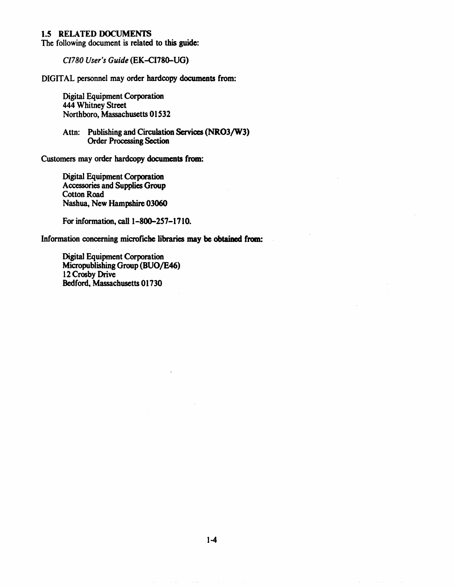#### 1.5 RELATED DOCUMENTS

The following document is related to this guide:

*Cl780 User's Guide* (EK-CI7SO-UG)

DIGITAL personnel may order hardcopy documents from:

Digital Equipment Corporation 444 Whitney Street Northboro, Massachusetts 01532

Attn: Publishing and Circulation Services (NR03/W3) Order Processing Section

Customers may order hardcopy documents from:

Digital Equipment Corporation Accessories and Supplies Group Cotton Road Nashua, New Hampshire 03060

For information, call 1-800-257-1710.

Information concerning microfiche libraries may be obtained from:

Digital Equipment Corporation Micropublishing Group (BUO/E46) 12 Crosby Drive Bedford, Massachusetts 01730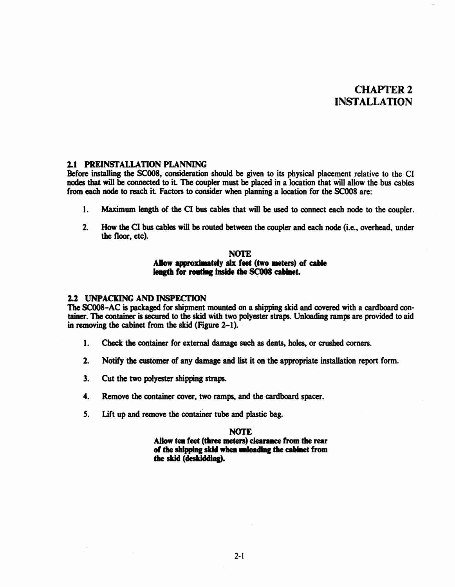## CHAPTER 2 INSTALLATION

#### 2.1 PREINSfALLATION PLANNING

Before installing the SCOO8, consideration should be given to its physical placement relative to the CI nodes that will be connected to it. The coupler must be placed in a location that will allow the bus cables from each node to reach it. Factors to consider when planning a location for the SC008 are:

- 1. Maximum length of the CI bus cables that will be used to connect each node to the coupler.
- 2. How the CI bus cables will be routed between the coupler and each node (i.e., overhead, under the floor, etc).

#### **NOTE** Allow approximately six feet (two meters) of cable Ieagth for routing inside the SCOO8 cabinet.

#### 2.2 UNPACKING AND INSPECTION

The SC008-AC is packaged for shipment mounted on a shipping skid and covered with a cardboard container. The container is secured to the skid with two polyester straps. Unloading ramps are provided to aid in removing the cabinet from the skid (Figure  $2-1$ ).

- 1. Check the container for external damage such as dents, holes, or crushed comers.
- 2. Notify the customer of any damage and list it on the appropriate installation report form.
- 3. Cut the two polyester shipping straps.
- 4. Remove the container cover, two ramps, and the cardboard spacer.
- 5. Lift up and remove the container tube and plastic bag.

#### **NOTE**

#### Allow ten feet (three meters) clearance from the rear of the shipping skid when unloading the cabinet from the skid (deskidding).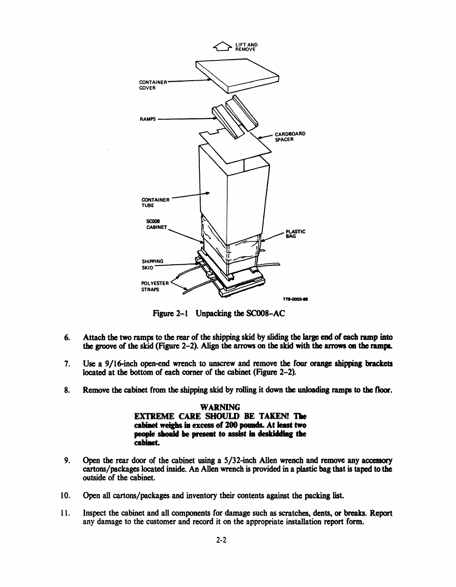

Figure 2-1 Unpacking the SCOOS-AC

- 6. Attach the two ramps to the rear of the shipping skid by sliding the large end of each ramp into the groove of the skid (Figure 2-2). Align the arrows on the skid with the arrows on the ramps.
- 7. Use a 9/16-inch open-end wrench to unscrew and remove the four orange shipping brackets located at the bottom of each corner of the cabinet (Figure 2-2).
- S. Remove the cabinet from the shipping skid by rolling it down the unloading ramps to the floor.

#### WARNING EXTREME CARE SHOULD BE TAKEN! The cabinet weighs in excess of 200 pounds. At least two people should be present to assist in deskidding the cabiaet.

- 9. Open the rear door of the cabinet using a 5/32-inch Allen wrench and remove any accessory cartons/packages located inside. An Allen wrench is provided in a plastic bag that is taped to the outside of the cabinet.
- 10. Open all cartons/packages and inventory their contents against the packing list.
- II. Inspect the cabinet and all components for damage such as scratches, dents, or breaks. Report any damage to the customer and record it on the appropriate installation report form.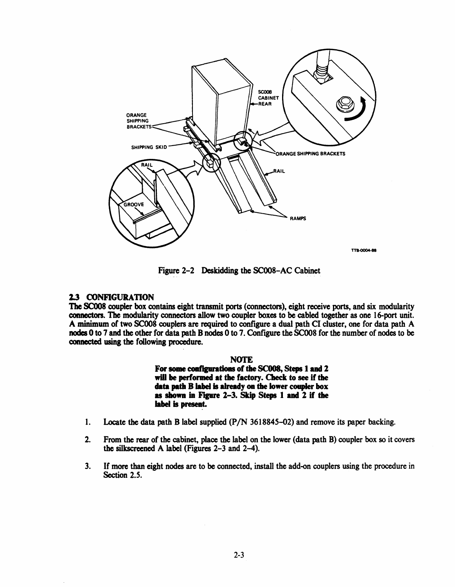

Figure 2-2 Deskidding the SCOO8-AC Cabinet

#### 2.3 CONFIGURATION

The sc008 coupler box contains eight transmit ports (connectors), eight receive ports, and six modularity connectors. The modularity connectors allow two coupler boxes to be cabled together as one 16-port unit. A minimum of two sc008 couplers are required to configure a dual path CI cluster, one for data path A nodes 0 to 7 and the other for data path B nodes 0 to 7. Configure the SC008 for the number of nodes to be connected using the following procedure.

#### **NOTE**

For some configurations of the SC008, Steps 1 and 2 will be performed at the factory. Check to see if the data path B label is already on the lower coupler box as shown in Figure 2-3. Skip Steps 1 and 2 if the label is present.

- 1. Locate the data path B label supplied  $(P/N)$  3618845-02) and remove its paper backing.
- 2. From the rear of the cabinet, place the label on the lower (data path B) coupler box so it covers the silkscrecned A label (Figures 2-3 and 2-4).
- 3. If more than eight nodes are to be connected, install the add-on couplers using the procedure in Section 2.5.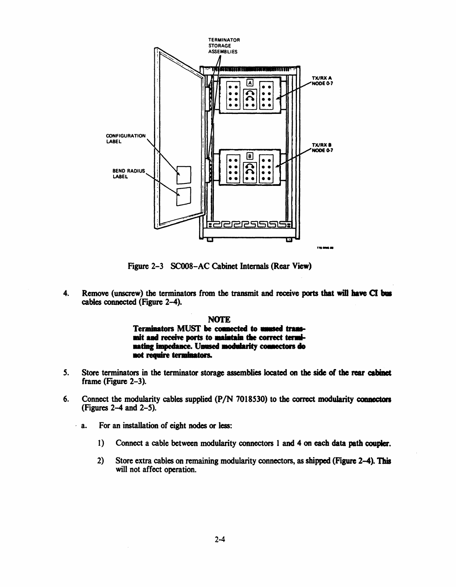

Figure 2-3 SC008-AC Cabinet Internals (Rear View)

 $\ddot{a}$ . Remove (unscrew) the terminators from the transmit and receive ports that will have CI bus cables connected (Figure 2-4).

#### **NOTE**

Terminators MUST be connected to unused transmit and receive ports to maintain the correct terminating impedance. Unused modularity connectors do not require terminators.

- 5. Store terminators in the terminator storage assemblies located on the side of the rear cabinet frame (Figure 2-3).
- Connect the modularity cables supplied (P/N 7018530) to the correct modularity connectors 6. (Figures  $2-4$  and  $2-5$ ).
	- For an installation of eight nodes or less:  $\cdot$  a.
		- $\bf{l}$ Connect a cable between modularity connectors 1 and 4 on each data path coupler.
		- $2)$ Store extra cables on remaining modularity connectors, as shipped (Figure 2-4). This will not affect operation.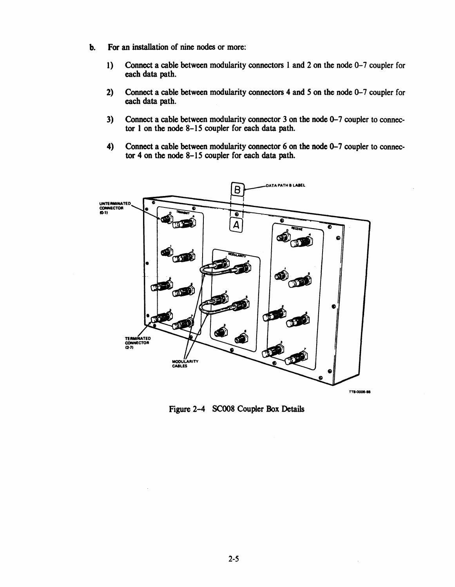- b. For an installation of nine nodes or more:
	- 1) Connect a cable between modularity connectors 1 and 2 on the node 0-7 coupler for each data path.
	- 2) Connect a cable between modularity connectors 4 and 5 on the node 0-7 coupler for each data path.
	- 3) Connect a cable between modularity connector 3 on the node 0-7 coupler to connector 1 on the node 8-15 coupler for each data path.
	- 4) Connect a cable between modularity connector 6 on the node 0-7 coupler to connector 4 on the node 8-15 coupler for each data path.



Figure 2-4 sc008 Coupler Box Details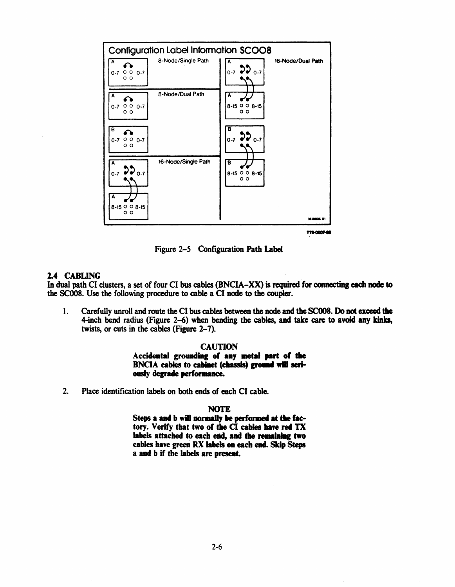

Figure 2-5 Configuration Path Label

#### 2.4 CABLING

In dual path CI clusters, a set of four CI bus cables (BNCIA-XX) is required for connecting each node to the SCOOS. Use the following procedure to cable a CI node to the coupler.

1. Carefully unroll and route the CI bus cables between the node and the SCOOS. Do not exceed the 4-inch bend radius (Figure 2-6) when bending the cables, and take care to avoid any kinks, twists, or cuts in the cables (Figure 2-7).

#### **CAUTION**

#### Accidental grounding of any metal part of the BNCIA cables to cabinet (chassis) ground will seriously degrade performance.

2. Place identification labels on both ends of each CI cable.

#### NOTE

Steps a and b will normally be performed at the factory. Verify that two of the CI cables have red TX labels attached to each end, and the remaining two cables have green RX labels on each end. Skip Steps a and b if the labels are present.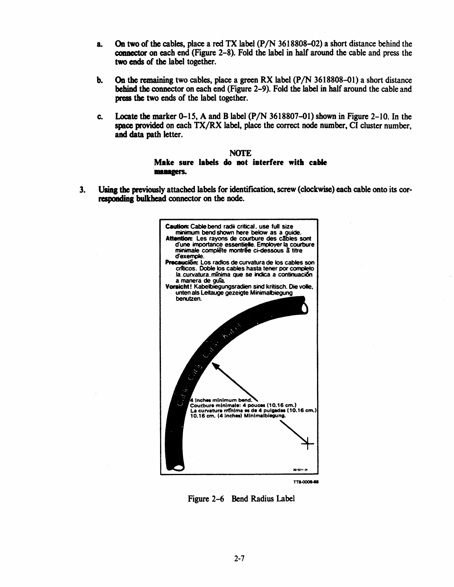- **a.** On two of the cables, place a red TX label  $(P/N)$  3618808–02) a short distance behind the connector on each end (Figure 2-8). Fold the label in half around the cable and press the two ends of the label together.
- b. On the remaining two cables, place a green RX label  $(P/N)$  3618808-01) a short distance behind the connector on each end (Figure 2-9). Fold the label in half around the cable and press the two ends of the label together.
- c. Locate the marker 0-15, A and B label  $(P/N)$  3618807-01) shown in Figure 2-10. In the space provided on each TX/RX label, place the correct node number, CI cluster number, and data path letter.

#### **NOTE** Make sure labels do not interfere with cable managers.

3. Using the previously attached labels for identification, screw (clockwise) each cable onto its corresponding bulkhead connector on the node.



TT8-0008-88

Figure 2-6 Bend Radius Label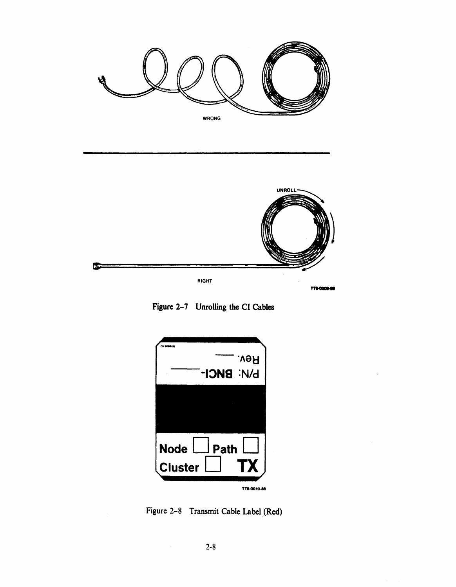



Figure 2-7 Unrolling the CI Cables



Figure 2-8 Transmit Cable Label (Red)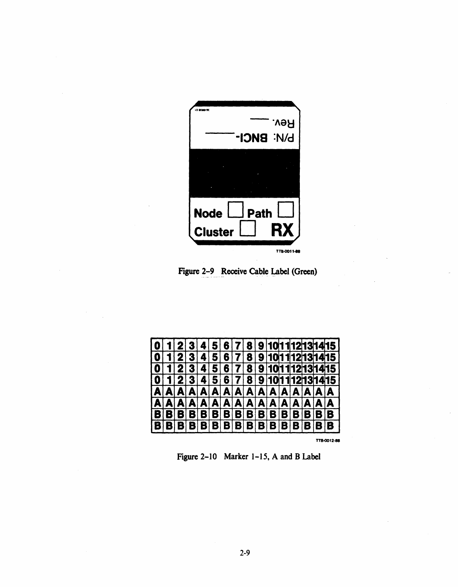| 100000190   |                |      | .vəЯ<br><b>BVI: BNCI-</b> |
|-------------|----------------|------|---------------------------|
|             |                |      |                           |
| <b>Node</b> | <b>Cluster</b> | Path | RX                        |
|             |                |      | TTB-0011-88               |

Figure 2-9 Receive Cable Label (Green)

| 0      |    |        | o | ą | 5 | Ô |   | $\ddot{\phantom{0}}$ | Ş                    |   |    |   |   |   |             |
|--------|----|--------|---|---|---|---|---|----------------------|----------------------|---|----|---|---|---|-------------|
| 0      |    | ŋ      | ς | 4 | 5 | ô |   | ÷                    | 3                    |   |    |   | n | z |             |
| C      |    | ۸      | ζ | 4 | 5 | ô |   | 8                    | 9                    |   |    |   |   | æ |             |
| 0      |    | n      | 3 | 4 | 5 | 6 |   | 8                    | 9                    |   |    |   | B | z |             |
| D      | ٥  | ß      | D | A | Δ | ۸ |   | 4                    | ٥                    | ٨ | ٥  | ۵ | Δ |   | A           |
| P.     | P. | D      | ٨ | Δ | Δ | â | A | A                    | ۵                    | ٨ | P. | A | ٠ | Δ | д           |
| r<br>D | U  | J<br>О | Ē | õ | Б | Ξ | Ē | ÷                    | Ę                    | ÷ | Б  | Ē | š | Ē | ŝ           |
| U<br>U | U  | ŝ      | B | Β | E | å | ÷ | Е                    | $\ddot{\phantom{a}}$ | ă | ī. | Ğ | õ | ă | ÷,          |
|        |    |        |   |   |   |   |   |                      |                      |   |    |   |   |   | TTB-0012-88 |

Figure 2-10 Marker 1-15, A and B Label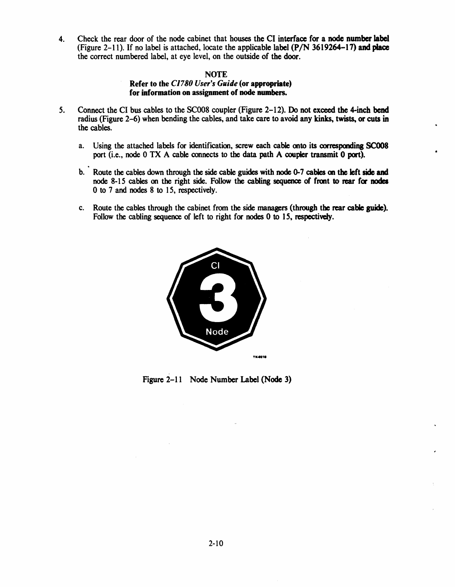4. Check the rear door of the node cabinet that houses the CI interface for a node number label (Figure 2-11). If no label is attached, locate the applicable label  $(P/N)$  3619264-17) and place the correct numbered label, at eye level, on the outside of the door.

#### NOTE Refer to the *Cl780 User's Guide* (or appropriate) for information on assignment of node numbers.

- 5. Connect the CI bus cables to the SCOO8 coupler (Figure 2-12). Do not exceed the 4-inch bend radius (Figure 2-6) when bending the cables, and take care to avoid any kinks, twists, or cuts in the cables.
	- a. Using the attached labels for identification, screw each cable onto its correspmding SCOO8 port (i.e., node 0 TX A cable connects to the data path A coupler transmit 0 port).
	- b. Route the cables down through the side cable guides with node 0-7 cables on the left side and node 8-15 cables on the right side. Follow the cabling sequence of front to rear for nodes o to 7 and nodes 8 to 15, respectively.
	- c. Route the cables through the cabinet from the side managers (through the rear cable guide). Follow the cabling sequence of left to right for nodes 0 to 15, respectively.



Figure 2-11 Node Number Label (Node 3)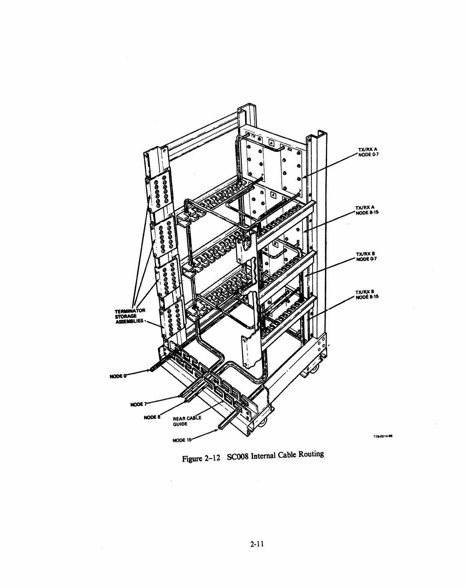

Figure 2-12 SCOO8 Internal Cable Routing

 $\ddot{\phantom{0}}$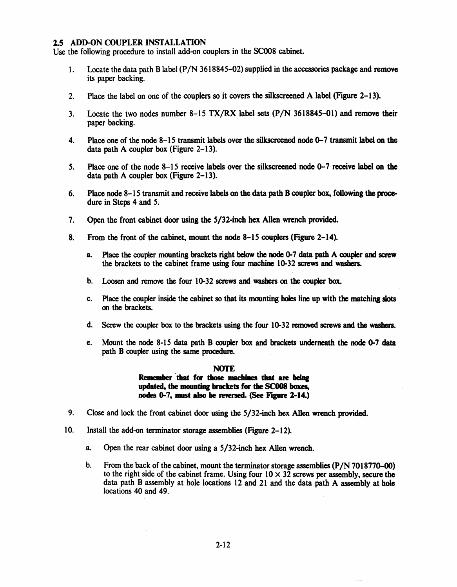#### 1.5 ADD-ON COUPLER INSTALLATION

Use the following procedure to install add-on couplers in the SCOO8 cabinet.

- 1. Locate the data path B label *(PIN* 3618845-02) supplied in the accessories package and remove its paper backing.
- 2. Place the label on one of the couplers so it covers the silkscreened A label (Figure 2-13).
- 3. Locate the two nodes number 8-15 TX/RX label sets *(PIN* 3618845-01) and remove their paper backing.
- 4. Place one of the node 8-15 transmit labels over the silkscreened node 0-7 transmit label on the data path A coupler box (Figure 2-13).
- 5. Place one of the node 8-15 receive labels over the silkscreened node 0-7 receive label on the data path A coupler box (Figure 2-13).
- 6. Place node  $8-15$  transmit and receive labels on the data path B coupler box, following the procedure in Steps 4 and 5.
- 7. Open the front cabinet door using the 5/32-inch hex Allen wrench provided.
- 8. From the front of the cabinet, mount the node 8-15 couplers (Figure 2-14).
	- a. Place the coupler mounting brackets right below the node 0-7 data path A coupler and screw the brackets to the cabinet frame using four machine 10-32 screws and washers.
	- b. Loosen and remove the four 10-32 screws and washers on the coupler box.
	- c. Place the coupler inside the cabinet so that its mounting holes line up with the matching slots on the brackets.
	- d. Screw the coupler box to the brackets using the four 10-32 removed screws and the washers.
	- e. Mount the node 8-15 data path B coupler box and brackets underneath the node 0-7 data path B coupler using the same procedure.

NOTE

Remember that for those machines that are being updated, the mounting brackets for the SCOO8 boxes, nodes 0-7, must also be reversed. (See Figure 2-14.)

- 9. Close and lock the front cabinet door using the 5/32-inch hex Allen wrench provided.
- 10. Install the add-on terminator storage assemblies (Figure 2-12).
	- a. Open the rear cabinet door using a 5/32-inch hex Allen wrench.
	- b. From the back of the cabinet, mount the terminator storage assemblies *(PIN* 7018770-00) to the right side of the cabinet frame. Using four  $10 \times 32$  screws per assembly, secure the data path B assembly at hole locations 12 and 21 and the data path A assembly at hole locations 40 and 49.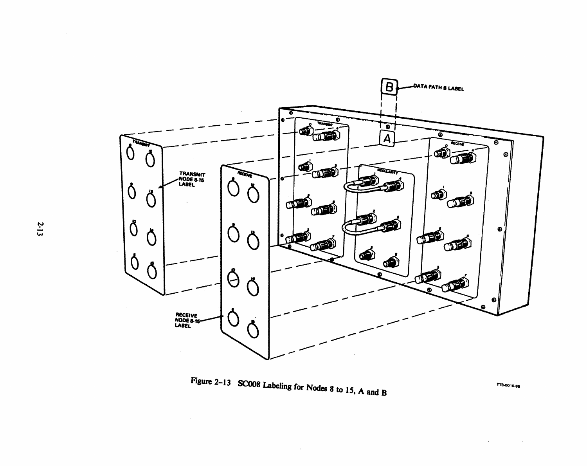



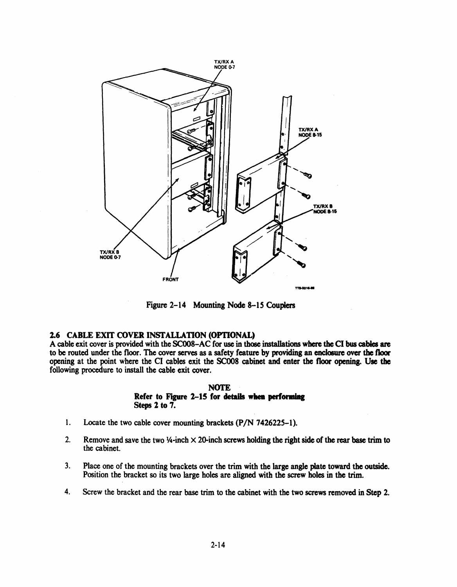

Figure 2-14 Mounting Node 8-15 Couplers

#### 2.6 CABLE EXIT COVER INSfALLATION (OPTIONAL)

A cable exit cover is provided with the sc008-AC for use in those installations where the CI bus cables are to be routed under the floor. The cover serves as a safety feature by providing an enclosure over the floor opening at the point where the CI cables exit the sc008 cabinet and enter the floor opening. Use the following procedure to install the cable exit cover.

> **NOTE** Refer to Figure  $2-15$  for details when performing Steps 2 to 7.

- 1. Locate the two cable cover mounting brackets (P/N 7426225-1).
- 2. Remove and save the two  $\frac{1}{4}$ -inch  $\times$  20-inch screws holding the right side of the rear base trim to the cabinet.
- 3. Place one of the mounting brackets over the trim with the large angle plate toward the outside. Position the bracket so its two large holes are aligned with the screw holes in the trim.
- 4. Screw the bracket and the rear base trim to the cabinet with the two screws removed in Step 2.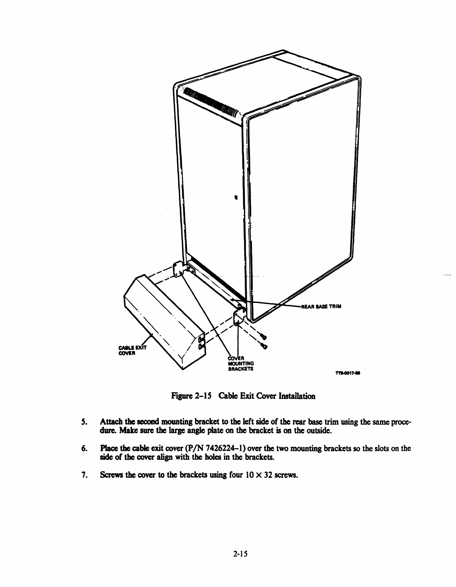

Figure 2-15 Cable Exit Cover Instailation

- *S.* Attach the second mounting bracket to the left side of the rear base trim using the same procedure. Make sure the large angle plate on the bracket is on the outside.
- 6. Place the cable exit cover  $(P/N 7426224-1)$  over the two mounting brackets so the slots on the side of the cover align with the holes in the brackets.
- 7. Screws the cover to the brackets using four  $10 \times 32$  screws.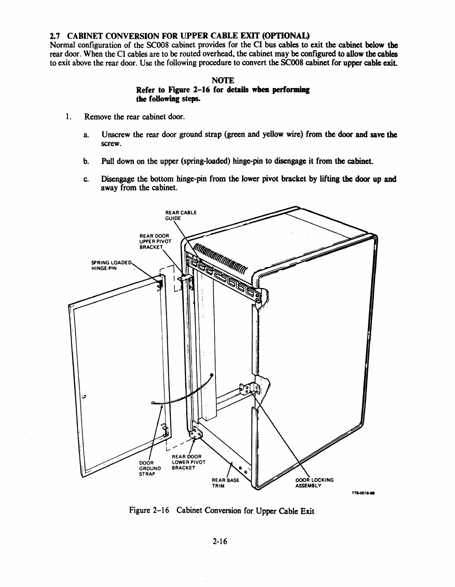#### 2.7 CABINET CONVERSION FOR UPPER CABLE EXIT (OPTIONAL)

Normal configuration of the SC008 cabinet provides for the CI bus cables to exit the cabinet below the rear door. When the CI cables are to be routed overhead, the cabinet may be configured to allow the cables to exit above the rear door. Use the following procedure to convert the SCOO8 cabinet for upper cable exit.

#### **NOTE** Refer to Figure 2-16 for details when performing the following steps.

- 1. Remove the rear cabinet door.
	- a. Unscrew the rear door ground strap (green and yellow wire) from the door and save the screw.
	- b. Pull down on the upper (spring-loaded) binge-pin to disengage it from the cabinet.
	- c. Disengage the bottom hinge-pin from the lower pivot bracket by lifting· the door up and away from the cabinet.



Figure 2-16 Cabinet Conversion for Upper Cable Exit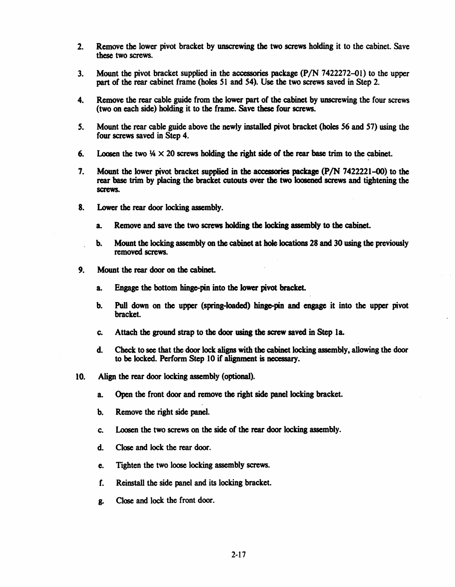- 2. Remove the lower pivot bracket by unscrewing the two screws holding it to the cabinet. Save these two screws.
- 3. Mount the pivot bracket supplied in the accessories package *(PIN* 7422272-01) to the upper part of the rear cabinet frame (holes 51 and 54). Use the two screws saved in Step 2.
- 4. Remove the rear cable guide from the lower part of the cabinet by unscrewing the four screws (two on each side) holding it to the frame. Save these four screws.
- 5. Mount the rear cable guide above the newly installed pivot bracket (holes 56 and 57) using the four screws saved in Step 4.
- 6. Loosen the two  $4 \times 20$  screws holding the right side of the rear base trim to the cabinet.
- 7. Mount the lower pivot bracket supplied in the accessories package (P/N 7422221-00) to the rear base trim by placing the bracket cutouts over the two loosened screws and tightening the screws.
- 8. Lower the rear door locking assembly.
	- a. Remove and save the two screws holding the locking assembly to the cabinet.
	- b. Mount the locking assembly on the cabinet at hole locations 28 and 30 using the previously removed screws.
- 9. Mount the rear door on the cabinet.
	- a. Engage the bottom binge-pin into the lower pivot bracket.
	- b. Pull down on the upper (spring-loaded) binge-pin and engage it into the upper pivot bracket.
	- c. Attach the ground strap to the door using the screw saved in Step la.
	- d. Check to see that the door lock aligns with the cabinet locking assembly, allowing the door to be locked. Perform Step 10 if alignment is necessary.
- 10. Align the rear door locking assembly (optional).
	- a. Open the front door and remove the right side panel locking bracket.
	- b. Remove the right side panel.
	- c. Loosen the two screws on the side of the rear door locking assembly.
	- d. Close and lock the rear door.
	- e. Tighten the two loose locking assembly screws.
	- f. Reinstall the side panel and its locking bracket.
	- g. Close and lock the front door.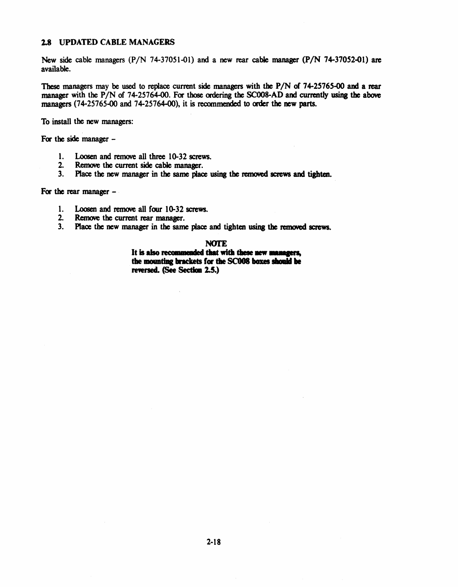#### **2.8 UPDATED CABLE MANAGERS**

New side cable managers  $(P/N 74-37051-01)$  and a new rear cable manager  $(P/N 74-37052-01)$  are available.

These managers may be used to replace current side managers with the P/N of 74-25765-00 and a rear manager with the P/N of 74-25764-00. For those ordering the SC008-AD and currently using the above managers (74-25765-00 and 74-25764-00), it is recommended to order the new parts.

To install the new managers:

For the side manager -

- Loosen and remove all three 10-32 screws.  $1<sub>1</sub>$
- Remove the current side cable manager.  $2.$
- $3<sub>1</sub>$ Place the new manager in the same place using the removed screws and tighten.

For the rear manager -

- Loosen and remove all four 10-32 screws.  $1.$
- 2. Remove the current rear manager.
- 3. Place the new manager in the same place and tighten using the removed screws.

#### **NOTE**

It is also recommended that with these new managers, the mounting brackets for the SC008 boxes should be reversed. (See Section 2.5.)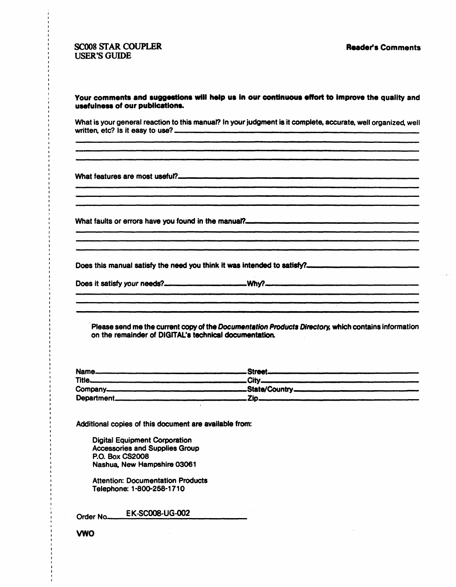#### **SC008 STAR COUPLER USER'S GUIDE**

#### Your comments and suggestions will help us in our continuous effort to improve the quality and usefulness of our publications.

What is your general reaction to this manual? In your judgment is it complete, accurate, well organized, well written, etc? Is it easy to use?

What faults or errors have you found in the manual?\_\_\_\_\_\_\_\_\_\_\_\_\_\_\_\_\_\_\_\_\_\_\_\_\_\_\_\_\_\_

Does this manual satisfy the need you think it was intended to satisfy?

Please send me the current copy of the Documentation Products Directory, which contains information on the remainder of DIGITAL's technical documentation.

| Name <sub>-</sub> | _Street__     |
|-------------------|---------------|
| Title_            | _City__       |
| Company           | State/Country |
| Department_       | Zio.          |

Additional copies of this document are available from:

**Digital Equipment Corporation Accessories and Supplies Group** P.O. Box CS2008 Nashua, New Hampshire 03061

**Attention: Documentation Products** Telephone: 1-800-258-1710

**EK-SC008-UG-002** Order No.

**VWO**